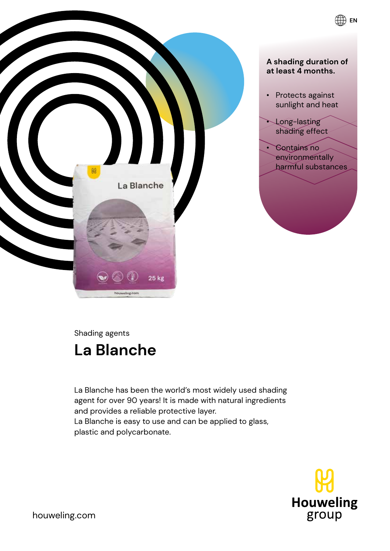

Shading agents

# **La Blanche**

La Blanche has been the world's most widely used shading agent for over 90 years! It is made with natural ingredients and provides a reliable protective layer. La Blanche is easy to use and can be applied to glass, plastic and polycarbonate.